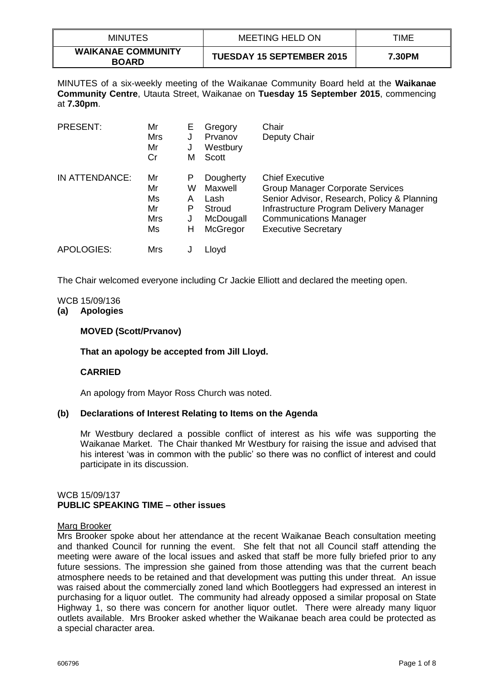| <b>MINUTES</b>                            | <b>MEETING HELD ON</b>           | TIME   |
|-------------------------------------------|----------------------------------|--------|
| <b>WAIKANAE COMMUNITY</b><br><b>BOARD</b> | <b>TUESDAY 15 SEPTEMBER 2015</b> | 7.30PM |

MINUTES of a six-weekly meeting of the Waikanae Community Board held at the **Waikanae Community Centre**, Utauta Street, Waikanae on **Tuesday 15 September 2015**, commencing at **7.30pm**.

| <b>PRESENT:</b> | Mr<br><b>Mrs</b><br>Mr<br>Cr      | E<br>J<br>М                | Gregory<br>Prvanov<br>Westbury<br>Scott                         | Chair<br>Deputy Chair                                                                                                                                                                                               |
|-----------------|-----------------------------------|----------------------------|-----------------------------------------------------------------|---------------------------------------------------------------------------------------------------------------------------------------------------------------------------------------------------------------------|
| IN ATTENDANCE:  | Mr<br>Mr<br>Ms<br>Mr<br>Mrs<br>Ms | Р<br>W<br>A<br>Р<br>J<br>н | Dougherty<br>Maxwell<br>Lash<br>Stroud<br>McDougall<br>McGregor | <b>Chief Executive</b><br>Group Manager Corporate Services<br>Senior Advisor, Research, Policy & Planning<br>Infrastructure Program Delivery Manager<br><b>Communications Manager</b><br><b>Executive Secretary</b> |
| APOLOGIES:      | Mrs                               |                            | Lloyd                                                           |                                                                                                                                                                                                                     |

The Chair welcomed everyone including Cr Jackie Elliott and declared the meeting open.

## WCB 15/09/136

#### **(a) Apologies**

# **MOVED (Scott/Prvanov)**

#### **That an apology be accepted from Jill Lloyd.**

#### **CARRIED**

An apology from Mayor Ross Church was noted.

#### **(b) Declarations of Interest Relating to Items on the Agenda**

Mr Westbury declared a possible conflict of interest as his wife was supporting the Waikanae Market. The Chair thanked Mr Westbury for raising the issue and advised that his interest 'was in common with the public' so there was no conflict of interest and could participate in its discussion.

# WCB 15/09/137 **PUBLIC SPEAKING TIME – other issues**

#### Marg Brooker

Mrs Brooker spoke about her attendance at the recent Waikanae Beach consultation meeting and thanked Council for running the event. She felt that not all Council staff attending the meeting were aware of the local issues and asked that staff be more fully briefed prior to any future sessions. The impression she gained from those attending was that the current beach atmosphere needs to be retained and that development was putting this under threat. An issue was raised about the commercially zoned land which Bootleggers had expressed an interest in purchasing for a liquor outlet. The community had already opposed a similar proposal on State Highway 1, so there was concern for another liquor outlet. There were already many liquor outlets available. Mrs Brooker asked whether the Waikanae beach area could be protected as a special character area.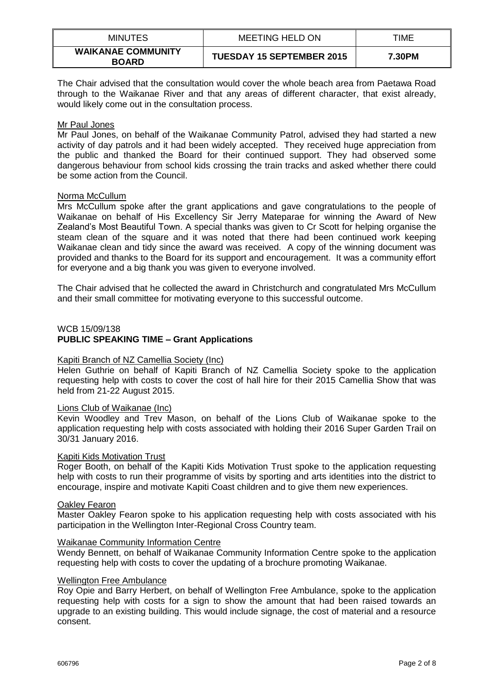| <b>MINUTES</b>                            | <b>MEETING HELD ON</b>           | TIME   |
|-------------------------------------------|----------------------------------|--------|
| <b>WAIKANAE COMMUNITY</b><br><b>BOARD</b> | <b>TUESDAY 15 SEPTEMBER 2015</b> | 7.30PM |

The Chair advised that the consultation would cover the whole beach area from Paetawa Road through to the Waikanae River and that any areas of different character, that exist already, would likely come out in the consultation process.

### Mr Paul Jones

Mr Paul Jones, on behalf of the Waikanae Community Patrol, advised they had started a new activity of day patrols and it had been widely accepted. They received huge appreciation from the public and thanked the Board for their continued support. They had observed some dangerous behaviour from school kids crossing the train tracks and asked whether there could be some action from the Council.

#### Norma McCullum

Mrs McCullum spoke after the grant applications and gave congratulations to the people of Waikanae on behalf of His Excellency Sir Jerry Mateparae for winning the Award of New Zealand's Most Beautiful Town. A special thanks was given to Cr Scott for helping organise the steam clean of the square and it was noted that there had been continued work keeping Waikanae clean and tidy since the award was received. A copy of the winning document was provided and thanks to the Board for its support and encouragement. It was a community effort for everyone and a big thank you was given to everyone involved.

The Chair advised that he collected the award in Christchurch and congratulated Mrs McCullum and their small committee for motivating everyone to this successful outcome.

#### WCB 15/09/138

# **PUBLIC SPEAKING TIME – Grant Applications**

#### Kapiti Branch of NZ Camellia Society (Inc)

Helen Guthrie on behalf of Kapiti Branch of NZ Camellia Society spoke to the application requesting help with costs to cover the cost of hall hire for their 2015 Camellia Show that was held from 21-22 August 2015.

#### Lions Club of Waikanae (Inc)

Kevin Woodley and Trev Mason, on behalf of the Lions Club of Waikanae spoke to the application requesting help with costs associated with holding their 2016 Super Garden Trail on 30/31 January 2016.

#### Kapiti Kids Motivation Trust

Roger Booth, on behalf of the Kapiti Kids Motivation Trust spoke to the application requesting help with costs to run their programme of visits by sporting and arts identities into the district to encourage, inspire and motivate Kapiti Coast children and to give them new experiences.

#### Oakley Fearon

Master Oakley Fearon spoke to his application requesting help with costs associated with his participation in the Wellington Inter-Regional Cross Country team.

#### Waikanae Community Information Centre

Wendy Bennett, on behalf of Waikanae Community Information Centre spoke to the application requesting help with costs to cover the updating of a brochure promoting Waikanae.

#### Wellington Free Ambulance

Roy Opie and Barry Herbert, on behalf of Wellington Free Ambulance, spoke to the application requesting help with costs for a sign to show the amount that had been raised towards an upgrade to an existing building. This would include signage, the cost of material and a resource consent.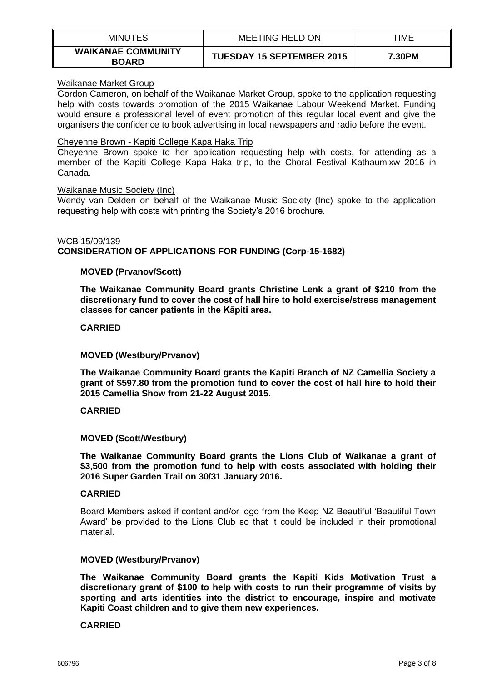| <b>MINUTES</b>                            | MEETING HELD ON                  | TIME   |
|-------------------------------------------|----------------------------------|--------|
| <b>WAIKANAE COMMUNITY</b><br><b>BOARD</b> | <b>TUESDAY 15 SEPTEMBER 2015</b> | 7.30PM |

### Waikanae Market Group

Gordon Cameron, on behalf of the Waikanae Market Group, spoke to the application requesting help with costs towards promotion of the 2015 Waikanae Labour Weekend Market. Funding would ensure a professional level of event promotion of this regular local event and give the organisers the confidence to book advertising in local newspapers and radio before the event.

## Cheyenne Brown - Kapiti College Kapa Haka Trip

Cheyenne Brown spoke to her application requesting help with costs, for attending as a member of the Kapiti College Kapa Haka trip, to the Choral Festival Kathaumixw 2016 in Canada.

## Waikanae Music Society (Inc)

Wendy van Delden on behalf of the Waikanae Music Society (Inc) spoke to the application requesting help with costs with printing the Society's 2016 brochure.

## WCB 15/09/139 **CONSIDERATION OF APPLICATIONS FOR FUNDING (Corp-15-1682)**

# **MOVED (Prvanov/Scott)**

**The Waikanae Community Board grants Christine Lenk a grant of \$210 from the discretionary fund to cover the cost of hall hire to hold exercise/stress management classes for cancer patients in the Kāpiti area.**

## **CARRIED**

## **MOVED (Westbury/Prvanov)**

**The Waikanae Community Board grants the Kapiti Branch of NZ Camellia Society a grant of \$597.80 from the promotion fund to cover the cost of hall hire to hold their 2015 Camellia Show from 21-22 August 2015.**

#### **CARRIED**

# **MOVED (Scott/Westbury)**

**The Waikanae Community Board grants the Lions Club of Waikanae a grant of \$3,500 from the promotion fund to help with costs associated with holding their 2016 Super Garden Trail on 30/31 January 2016.**

#### **CARRIED**

Board Members asked if content and/or logo from the Keep NZ Beautiful 'Beautiful Town Award' be provided to the Lions Club so that it could be included in their promotional material.

#### **MOVED (Westbury/Prvanov)**

**The Waikanae Community Board grants the Kapiti Kids Motivation Trust a discretionary grant of \$100 to help with costs to run their programme of visits by sporting and arts identities into the district to encourage, inspire and motivate Kapiti Coast children and to give them new experiences.**

#### **CARRIED**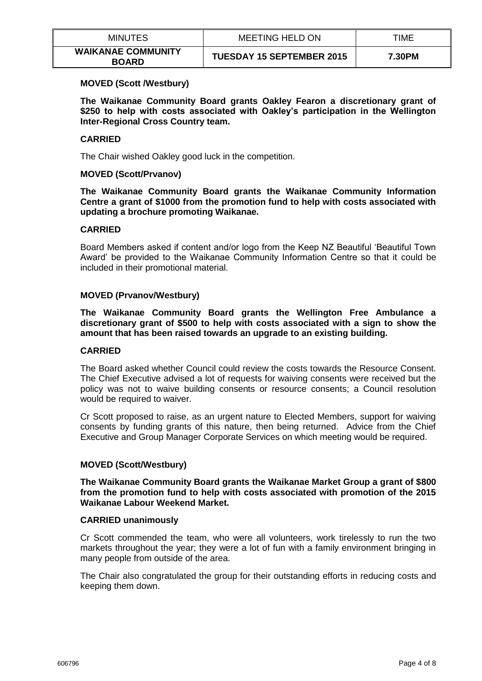| <b>MINUTES</b>                            | <b>MEETING HELD ON</b>           | TIME   |
|-------------------------------------------|----------------------------------|--------|
| <b>WAIKANAE COMMUNITY</b><br><b>BOARD</b> | <b>TUESDAY 15 SEPTEMBER 2015</b> | 7.30PM |

## **MOVED (Scott /Westbury)**

**The Waikanae Community Board grants Oakley Fearon a discretionary grant of \$250 to help with costs associated with Oakley's participation in the Wellington Inter-Regional Cross Country team.** 

## **CARRIED**

The Chair wished Oakley good luck in the competition.

## **MOVED (Scott/Prvanov)**

**The Waikanae Community Board grants the Waikanae Community Information Centre a grant of \$1000 from the promotion fund to help with costs associated with updating a brochure promoting Waikanae.**

## **CARRIED**

Board Members asked if content and/or logo from the Keep NZ Beautiful 'Beautiful Town Award' be provided to the Waikanae Community Information Centre so that it could be included in their promotional material.

## **MOVED (Prvanov/Westbury)**

**The Waikanae Community Board grants the Wellington Free Ambulance a discretionary grant of \$500 to help with costs associated with a sign to show the amount that has been raised towards an upgrade to an existing building.**

### **CARRIED**

The Board asked whether Council could review the costs towards the Resource Consent. The Chief Executive advised a lot of requests for waiving consents were received but the policy was not to waive building consents or resource consents; a Council resolution would be required to waiver.

Cr Scott proposed to raise, as an urgent nature to Elected Members, support for waiving consents by funding grants of this nature, then being returned. Advice from the Chief Executive and Group Manager Corporate Services on which meeting would be required.

# **MOVED (Scott/Westbury)**

**The Waikanae Community Board grants the Waikanae Market Group a grant of \$800 from the promotion fund to help with costs associated with promotion of the 2015 Waikanae Labour Weekend Market.** 

#### **CARRIED unanimously**

Cr Scott commended the team, who were all volunteers, work tirelessly to run the two markets throughout the year; they were a lot of fun with a family environment bringing in many people from outside of the area.

The Chair also congratulated the group for their outstanding efforts in reducing costs and keeping them down.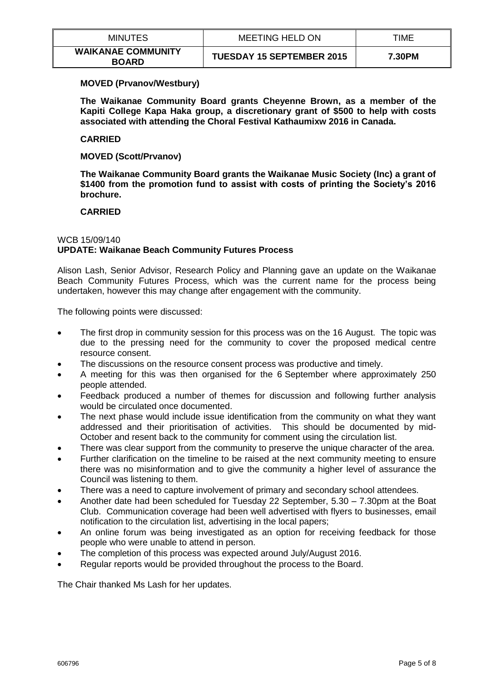| <b>MINUTES</b>                            | MEETING HELD ON                  | TIME   |
|-------------------------------------------|----------------------------------|--------|
| <b>WAIKANAE COMMUNITY</b><br><b>BOARD</b> | <b>TUESDAY 15 SEPTEMBER 2015</b> | 7.30PM |

## **MOVED (Prvanov/Westbury)**

**The Waikanae Community Board grants Cheyenne Brown, as a member of the Kapiti College Kapa Haka group, a discretionary grant of \$500 to help with costs associated with attending the Choral Festival Kathaumixw 2016 in Canada.**

## **CARRIED**

**MOVED (Scott/Prvanov)**

**The Waikanae Community Board grants the Waikanae Music Society (Inc) a grant of \$1400 from the promotion fund to assist with costs of printing the Society's 2016 brochure.** 

## **CARRIED**

# WCB 15/09/140 **UPDATE: Waikanae Beach Community Futures Process**

Alison Lash, Senior Advisor, Research Policy and Planning gave an update on the Waikanae Beach Community Futures Process, which was the current name for the process being undertaken, however this may change after engagement with the community.

The following points were discussed:

- The first drop in community session for this process was on the 16 August. The topic was due to the pressing need for the community to cover the proposed medical centre resource consent.
- The discussions on the resource consent process was productive and timely.
- A meeting for this was then organised for the 6 September where approximately 250 people attended.
- Feedback produced a number of themes for discussion and following further analysis would be circulated once documented.
- The next phase would include issue identification from the community on what they want addressed and their prioritisation of activities. This should be documented by mid-October and resent back to the community for comment using the circulation list.
- There was clear support from the community to preserve the unique character of the area.
- Further clarification on the timeline to be raised at the next community meeting to ensure there was no misinformation and to give the community a higher level of assurance the Council was listening to them.
- There was a need to capture involvement of primary and secondary school attendees.
- Another date had been scheduled for Tuesday 22 September, 5.30 7.30pm at the Boat Club. Communication coverage had been well advertised with flyers to businesses, email notification to the circulation list, advertising in the local papers;
- An online forum was being investigated as an option for receiving feedback for those people who were unable to attend in person.
- The completion of this process was expected around July/August 2016.
- Regular reports would be provided throughout the process to the Board.

The Chair thanked Ms Lash for her updates.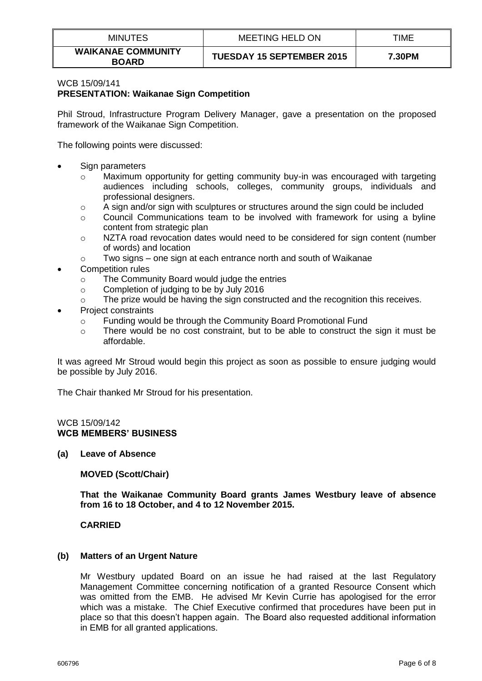| <b>MINUTES</b>                            | MEETING HELD ON                  | TIME   |
|-------------------------------------------|----------------------------------|--------|
| <b>WAIKANAE COMMUNITY</b><br><b>BOARD</b> | <b>TUESDAY 15 SEPTEMBER 2015</b> | 7.30PM |

#### WCB 15/09/141 **PRESENTATION: Waikanae Sign Competition**

Phil Stroud, Infrastructure Program Delivery Manager, gave a presentation on the proposed framework of the Waikanae Sign Competition.

The following points were discussed:

- Sign parameters
	- $\circ$  Maximum opportunity for getting community buy-in was encouraged with targeting audiences including schools, colleges, community groups, individuals and professional designers.
	- o A sign and/or sign with sculptures or structures around the sign could be included
	- o Council Communications team to be involved with framework for using a byline content from strategic plan
	- $\circ$  NZTA road revocation dates would need to be considered for sign content (number of words) and location
	- $\circ$  Two signs one sign at each entrance north and south of Waikanae
- Competition rules
	- o The Community Board would judge the entries
	- o Completion of judging to be by July 2016
	- $\circ$  The prize would be having the sign constructed and the recognition this receives.
- Project constraints
	- o Funding would be through the Community Board Promotional Fund
	- $\circ$  There would be no cost constraint, but to be able to construct the sign it must be affordable.

It was agreed Mr Stroud would begin this project as soon as possible to ensure judging would be possible by July 2016.

The Chair thanked Mr Stroud for his presentation.

#### WCB 15/09/142 **WCB MEMBERS' BUSINESS**

**(a) Leave of Absence**

**MOVED (Scott/Chair)**

**That the Waikanae Community Board grants James Westbury leave of absence from 16 to 18 October, and 4 to 12 November 2015.** 

**CARRIED**

# **(b) Matters of an Urgent Nature**

Mr Westbury updated Board on an issue he had raised at the last Regulatory Management Committee concerning notification of a granted Resource Consent which was omitted from the EMB. He advised Mr Kevin Currie has apologised for the error which was a mistake. The Chief Executive confirmed that procedures have been put in place so that this doesn't happen again. The Board also requested additional information in EMB for all granted applications.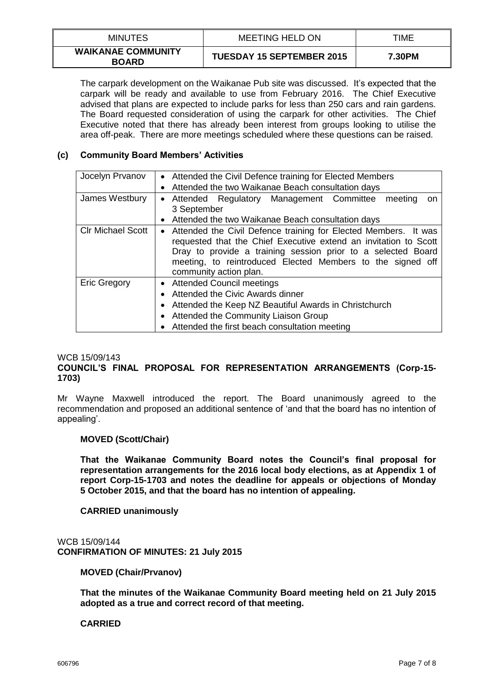| <b>MINUTES</b>                            | <b>MEETING HELD ON</b>           | TIME   |
|-------------------------------------------|----------------------------------|--------|
| <b>WAIKANAE COMMUNITY</b><br><b>BOARD</b> | <b>TUESDAY 15 SEPTEMBER 2015</b> | 7.30PM |

The carpark development on the Waikanae Pub site was discussed. It's expected that the carpark will be ready and available to use from February 2016. The Chief Executive advised that plans are expected to include parks for less than 250 cars and rain gardens. The Board requested consideration of using the carpark for other activities. The Chief Executive noted that there has already been interest from groups looking to utilise the area off-peak. There are more meetings scheduled where these questions can be raised.

# **(c) Community Board Members' Activities**

| Jocelyn Prvanov          | • Attended the Civil Defence training for Elected Members                                                                                                                                                                                                                                     |  |  |
|--------------------------|-----------------------------------------------------------------------------------------------------------------------------------------------------------------------------------------------------------------------------------------------------------------------------------------------|--|--|
|                          | Attended the two Waikanae Beach consultation days<br>$\bullet$                                                                                                                                                                                                                                |  |  |
| James Westbury           | Attended Regulatory Management Committee meeting<br>on<br>$\bullet$<br>3 September                                                                                                                                                                                                            |  |  |
|                          | Attended the two Waikanae Beach consultation days<br>$\bullet$                                                                                                                                                                                                                                |  |  |
| <b>CIr Michael Scott</b> | • Attended the Civil Defence training for Elected Members. It was<br>requested that the Chief Executive extend an invitation to Scott<br>Dray to provide a training session prior to a selected Board<br>meeting, to reintroduced Elected Members to the signed off<br>community action plan. |  |  |
| <b>Eric Gregory</b>      | • Attended Council meetings<br>Attended the Civic Awards dinner<br>$\bullet$<br>Attended the Keep NZ Beautiful Awards in Christchurch<br>Attended the Community Liaison Group<br>$\bullet$<br>Attended the first beach consultation meeting                                                   |  |  |

#### WCB 15/09/143

# **COUNCIL'S FINAL PROPOSAL FOR REPRESENTATION ARRANGEMENTS (Corp-15- 1703)**

Mr Wayne Maxwell introduced the report. The Board unanimously agreed to the recommendation and proposed an additional sentence of 'and that the board has no intention of appealing'.

#### **MOVED (Scott/Chair)**

**That the Waikanae Community Board notes the Council's final proposal for representation arrangements for the 2016 local body elections, as at Appendix 1 of report Corp-15-1703 and notes the deadline for appeals or objections of Monday 5 October 2015, and that the board has no intention of appealing.**

### **CARRIED unanimously**

WCB 15/09/144 **CONFIRMATION OF MINUTES: 21 July 2015**

**MOVED (Chair/Prvanov)**

**That the minutes of the Waikanae Community Board meeting held on 21 July 2015 adopted as a true and correct record of that meeting.** 

# **CARRIED**